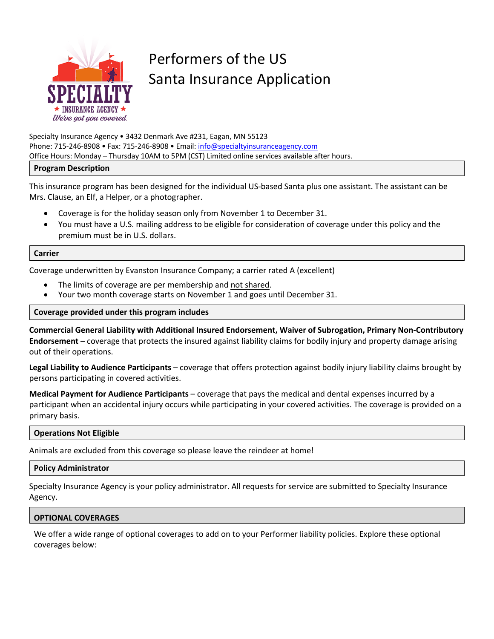

# Performers of the US Santa Insurance Application

Specialty Insurance Agency • 3432 Denmark Ave #231, Eagan, MN 55123 Phone: 715-246-8908 • Fax: 715-246-8908 • Email: info@specialtyinsuranceagency.com Office Hours: Monday – Thursday 10AM to 5PM (CST) Limited online services available after hours.

#### **Program Description**

This insurance program has been designed for the individual US-based Santa plus one assistant. The assistant can be Mrs. Clause, an Elf, a Helper, or a photographer.

- Coverage is for the holiday season only from November 1 to December 31.
- You must have a U.S. mailing address to be eligible for consideration of coverage under this policy and the premium must be in U.S. dollars.

#### **Carrier**

Coverage underwritten by Evanston Insurance Company; a carrier rated A (excellent)

- The limits of coverage are per membership and not shared.
- Your two month coverage starts on November 1 and goes until December 31.

**Coverage provided under this program includes**

**Commercial General Liability with Additional Insured Endorsement, Waiver of Subrogation, Primary Non-Contributory Endorsement** – coverage that protects the insured against liability claims for bodily injury and property damage arising out of their operations.

**Legal Liability to Audience Participants** – coverage that offers protection against bodily injury liability claims brought by persons participating in covered activities.

**Medical Payment for Audience Participants** – coverage that pays the medical and dental expenses incurred by a participant when an accidental injury occurs while participating in your covered activities. The coverage is provided on a primary basis.

#### **Operations Not Eligible**

Animals are excluded from this coverage so please leave the reindeer at home!

### **Policy Administrator**

Specialty Insurance Agency is your policy administrator. All requests for service are submitted to Specialty Insurance Agency.

# **OPTIONAL COVERAGES**

We offer a wide range of optional coverages to add on to your Performer liability policies. Explore these optional coverages below: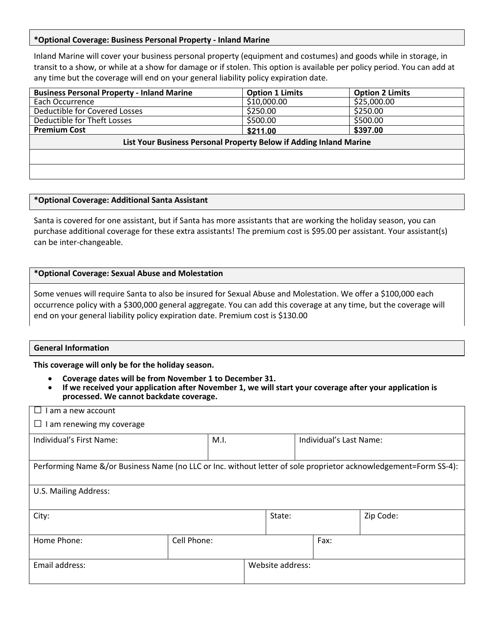#### **\*Optional Coverage: Business Personal Property - Inland Marine**

Inland Marine will cover your business personal property (equipment and costumes) and goods while in storage, in transit to a show, or while at a show for damage or if stolen. This option is available per policy period. You can add at any time but the coverage will end on your general liability policy expiration date.

| <b>Business Personal Property - Inland Marine</b>                  | <b>Option 1 Limits</b> | <b>Option 2 Limits</b> |
|--------------------------------------------------------------------|------------------------|------------------------|
| Each Occurrence                                                    | \$10,000.00            | \$25,000.00            |
| Deductible for Covered Losses                                      | \$250.00               | \$250.00               |
| Deductible for Theft Losses                                        | \$500.00               | \$500.00               |
| <b>Premium Cost</b>                                                | \$211.00               | \$397.00               |
| List Your Business Personal Property Below if Adding Inland Marine |                        |                        |
|                                                                    |                        |                        |
|                                                                    |                        |                        |

#### **\*Optional Coverage: Additional Santa Assistant**

Santa is covered for one assistant, but if Santa has more assistants that are working the holiday season, you can purchase additional coverage for these extra assistants! The premium cost is \$95.00 per assistant. Your assistant(s) can be inter-changeable.

#### **\*Optional Coverage: Sexual Abuse and Molestation**

Some venues will require Santa to also be insured for Sexual Abuse and Molestation. We offer a \$100,000 each occurrence policy with a \$300,000 general aggregate. You can add this coverage at any time, but the coverage will end on your general liability policy expiration date. Premium cost is \$130.00

#### **General Information**

**This coverage will only be for the holiday season.** 

- 
- **Coverage dates will be from November 1 to December 31. If we received your application after November 1, we will start your coverage after your application is processed. We cannot backdate coverage.**

| I am a new account                                                                                               |             |      |                  |                         |           |
|------------------------------------------------------------------------------------------------------------------|-------------|------|------------------|-------------------------|-----------|
| $\Box$ I am renewing my coverage                                                                                 |             |      |                  |                         |           |
| Individual's First Name:                                                                                         |             | M.I. |                  | Individual's Last Name: |           |
|                                                                                                                  |             |      |                  |                         |           |
| Performing Name &/or Business Name (no LLC or Inc. without letter of sole proprietor acknowledgement=Form SS-4): |             |      |                  |                         |           |
|                                                                                                                  |             |      |                  |                         |           |
| U.S. Mailing Address:                                                                                            |             |      |                  |                         |           |
|                                                                                                                  |             |      |                  |                         |           |
| City:                                                                                                            |             |      | State:           |                         | Zip Code: |
|                                                                                                                  |             |      |                  |                         |           |
| Home Phone:                                                                                                      | Cell Phone: |      |                  | Fax:                    |           |
|                                                                                                                  |             |      |                  |                         |           |
| Email address:                                                                                                   |             |      | Website address: |                         |           |
|                                                                                                                  |             |      |                  |                         |           |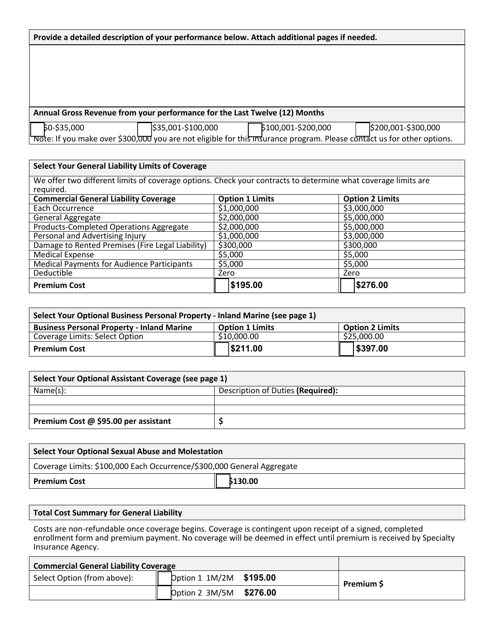| Annual Gross Revenue from your performance for the Last Twelve (12) Months |                    |                                                                                                                        |                     |  |
|----------------------------------------------------------------------------|--------------------|------------------------------------------------------------------------------------------------------------------------|---------------------|--|
| 60-\$35,000                                                                | \$35,001-\$100,000 | \$100,001-\$200,000                                                                                                    | \$200,001-\$300,000 |  |
|                                                                            |                    | note: If you make over \$300,000 you are not eligible for this insurance program. Please contact us for other options. |                     |  |

| <b>Select Your General Liability Limits of Coverage</b>                                                       |             |                        |      |                        |  |
|---------------------------------------------------------------------------------------------------------------|-------------|------------------------|------|------------------------|--|
| We offer two different limits of coverage options. Check your contracts to determine what coverage limits are |             |                        |      |                        |  |
| required.                                                                                                     |             |                        |      |                        |  |
| <b>Commercial General Liability Coverage</b>                                                                  |             | <b>Option 1 Limits</b> |      | <b>Option 2 Limits</b> |  |
| Each Occurrence                                                                                               | \$1,000,000 |                        |      | \$3,000,000            |  |
| <b>General Aggregate</b>                                                                                      | \$2,000,000 |                        |      | \$5,000,000            |  |
| Products-Completed Operations Aggregate                                                                       | \$2,000,000 |                        |      | \$5,000,000            |  |
| Personal and Advertising Injury                                                                               | \$1,000,000 |                        |      | \$3,000,000            |  |
| Damage to Rented Premises (Fire Legal Liability)                                                              | \$300,000   |                        |      | \$300,000              |  |
| <b>Medical Expense</b>                                                                                        | \$5,000     |                        |      | \$5,000                |  |
| <b>Medical Payments for Audience Participants</b>                                                             | \$5,000     |                        |      | \$5,000                |  |
| Deductible                                                                                                    | Zero        |                        | Zero |                        |  |
| <b>Premium Cost</b>                                                                                           |             | \$195.00               |      | \$276.00               |  |

| Select Your Optional Business Personal Property - Inland Marine (see page 1) |                                                  |             |  |
|------------------------------------------------------------------------------|--------------------------------------------------|-------------|--|
| <b>Business Personal Property - Inland Marine</b>                            | <b>Option 1 Limits</b><br><b>Option 2 Limits</b> |             |  |
| Coverage Limits: Select Option                                               | \$10,000.00                                      | \$25,000.00 |  |
| <b>Premium Cost</b>                                                          | \$211.00                                         | \$397.00    |  |

| Select Your Optional Assistant Coverage (see page 1) |                                   |  |
|------------------------------------------------------|-----------------------------------|--|
| Name(s):                                             | Description of Duties (Required): |  |
|                                                      |                                   |  |
|                                                      |                                   |  |
| Premium Cost @ \$95.00 per assistant                 |                                   |  |

| Select Your Optional Sexual Abuse and Molestation                      |          |
|------------------------------------------------------------------------|----------|
| Coverage Limits: \$100,000 Each Occurrence/\$300,000 General Aggregate |          |
| <b>Premium Cost</b>                                                    | \$130.00 |

## **Total Cost Summary for General Liability**

Costs are non-refundable once coverage begins. Coverage is contingent upon receipt of a signed, completed enrollment form and premium payment. No coverage will be deemed in effect until premium is received by Specialty Insurance Agency.

| <b>Commercial General Liability Coverage</b> |                         |  |            |
|----------------------------------------------|-------------------------|--|------------|
| Select Option (from above):                  | pption 1 1M/2M \$195.00 |  | Premium \$ |
|                                              | Option 2 3M/5M \$276.00 |  |            |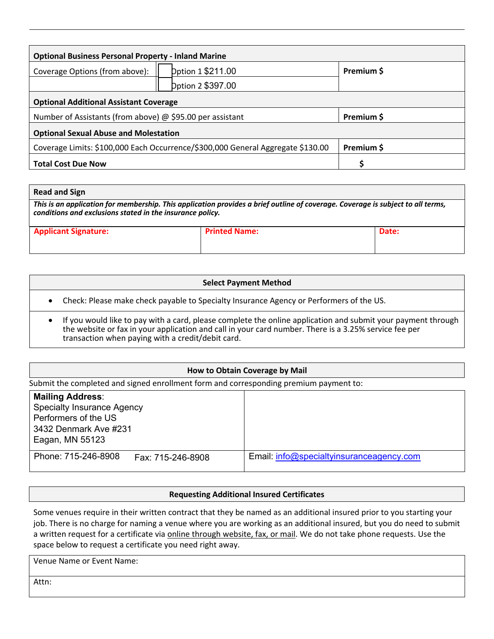| <b>Optional Business Personal Property - Inland Marine</b>                      |                   |            |  |  |
|---------------------------------------------------------------------------------|-------------------|------------|--|--|
| Dption 1 \$211.00<br>Coverage Options (from above):                             |                   | Premium \$ |  |  |
|                                                                                 | Dption 2 \$397.00 |            |  |  |
| <b>Optional Additional Assistant Coverage</b>                                   |                   |            |  |  |
| Number of Assistants (from above) $\omega$ \$95.00 per assistant                |                   | Premium \$ |  |  |
| <b>Optional Sexual Abuse and Molestation</b>                                    |                   |            |  |  |
| Coverage Limits: \$100,000 Each Occurrence/\$300,000 General Aggregate \$130.00 |                   | Premium \$ |  |  |
| <b>Total Cost Due Now</b>                                                       |                   |            |  |  |

#### **Read and Sign**

*This is an application for membership. This application provides a brief outline of coverage. Coverage is subject to all terms, conditions and exclusions stated in the insurance policy.*

| <b>Applicant Signature:</b> | <b>Printed Name:</b> | Date: |
|-----------------------------|----------------------|-------|
|                             |                      |       |

|           | <b>Select Payment Method</b>                                                                                                                                                                                                                                               |
|-----------|----------------------------------------------------------------------------------------------------------------------------------------------------------------------------------------------------------------------------------------------------------------------------|
|           | • Check: Please make check payable to Specialty Insurance Agency or Performers of the US.                                                                                                                                                                                  |
| $\bullet$ | If you would like to pay with a card, please complete the online application and submit your payment through<br>the website or fax in your application and call in your card number. There is a 3.25% service fee per<br>transaction when paying with a credit/debit card. |

# **How to Obtain Coverage by Mail** Submit the completed and signed enrollment form and corresponding premium payment to:

| <b>Mailing Address:</b>                  |                                          |
|------------------------------------------|------------------------------------------|
| <b>Specialty Insurance Agency</b>        |                                          |
| Performers of the US                     |                                          |
| 3432 Denmark Ave #231                    |                                          |
| Eagan, MN 55123                          |                                          |
| Phone: 715-246-8908<br>Fax: 715-246-8908 | Email: info@specialtyinsuranceagency.com |

#### **Requesting Additional Insured Certificates**

Some venues require in their written contract that they be named as an additional insured prior to you starting your job. There is no charge for naming a venue where you are working as an additional insured, but you do need to submit a written request for a certificate via online through website, fax, or mail. We do not take phone requests. Use the space below to request a certificate you need right away.

Venue Name or Event Name:

Attn: